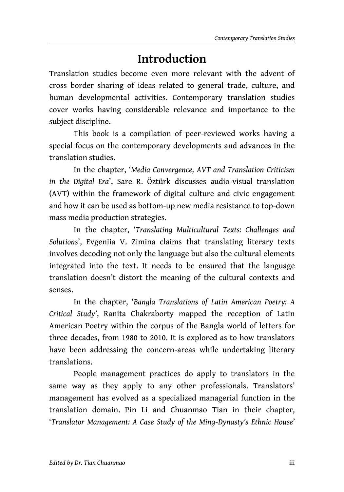## **Introduction**

Translation studies become even more relevant with the advent of cross border sharing of ideas related to general trade, culture, and human developmental activities. Contemporary translation studies cover works having considerable relevance and importance to the subject discipline.

This book is a compilation of peer-reviewed works having a special focus on the contemporary developments and advances in the translation studies.

In the chapter, '*Media Convergence, AVT and Translation Criticism in the Digital Era*', Sare R. Öztürk discusses audio-visual translation (AVT) within the framework of digital culture and civic engagement and how it can be used as bottom-up new media resistance to top-down mass media production strategies.

In the chapter, '*Translating Multicultural Texts: Challenges and Solutions*', Evgeniia V. Zimina claims that translating literary texts involves decoding not only the language but also the cultural elements integrated into the text. It needs to be ensured that the language translation doesn't distort the meaning of the cultural contexts and senses.

In the chapter, '*Bangla Translations of Latin American Poetry: A Critical Study'*, Ranita Chakraborty mapped the reception of Latin American Poetry within the corpus of the Bangla world of letters for three decades, from 1980 to 2010. It is explored as to how translators have been addressing the concern-areas while undertaking literary translations.

People management practices do apply to translators in the same way as they apply to any other professionals. Translators' management has evolved as a specialized managerial function in the translation domain. Pin Li and Chuanmao Tian in their chapter, '*Translator Management: A Case Study of the Ming-Dynasty's Ethnic House*'